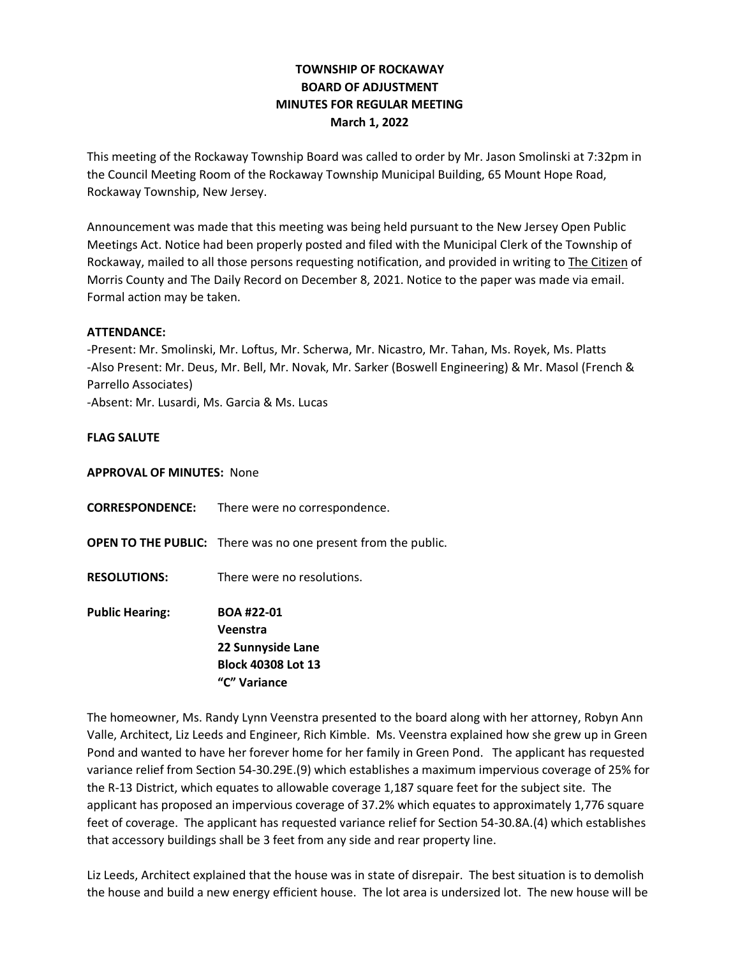# **TOWNSHIP OF ROCKAWAY BOARD OF ADJUSTMENT MINUTES FOR REGULAR MEETING March 1, 2022**

This meeting of the Rockaway Township Board was called to order by Mr. Jason Smolinski at 7:32pm in the Council Meeting Room of the Rockaway Township Municipal Building, 65 Mount Hope Road, Rockaway Township, New Jersey.

Announcement was made that this meeting was being held pursuant to the New Jersey Open Public Meetings Act. Notice had been properly posted and filed with the Municipal Clerk of the Township of Rockaway, mailed to all those persons requesting notification, and provided in writing to The Citizen of Morris County and The Daily Record on December 8, 2021. Notice to the paper was made via email. Formal action may be taken.

### **ATTENDANCE:**

-Present: Mr. Smolinski, Mr. Loftus, Mr. Scherwa, Mr. Nicastro, Mr. Tahan, Ms. Royek, Ms. Platts -Also Present: Mr. Deus, Mr. Bell, Mr. Novak, Mr. Sarker (Boswell Engineering) & Mr. Masol (French & Parrello Associates)

-Absent: Mr. Lusardi, Ms. Garcia & Ms. Lucas

### **FLAG SALUTE**

### **APPROVAL OF MINUTES:** None

- **CORRESPONDENCE:** There were no correspondence.
- **OPEN TO THE PUBLIC:** There was no one present from the public.
- **RESOLUTIONS:** There were no resolutions.

**Public Hearing: BOA #22-01 Veenstra 22 Sunnyside Lane Block 40308 Lot 13 "C" Variance**

The homeowner, Ms. Randy Lynn Veenstra presented to the board along with her attorney, Robyn Ann Valle, Architect, Liz Leeds and Engineer, Rich Kimble. Ms. Veenstra explained how she grew up in Green Pond and wanted to have her forever home for her family in Green Pond. The applicant has requested variance relief from Section 54-30.29E.(9) which establishes a maximum impervious coverage of 25% for the R-13 District, which equates to allowable coverage 1,187 square feet for the subject site. The applicant has proposed an impervious coverage of 37.2% which equates to approximately 1,776 square feet of coverage. The applicant has requested variance relief for Section 54-30.8A.(4) which establishes that accessory buildings shall be 3 feet from any side and rear property line.

Liz Leeds, Architect explained that the house was in state of disrepair. The best situation is to demolish the house and build a new energy efficient house. The lot area is undersized lot. The new house will be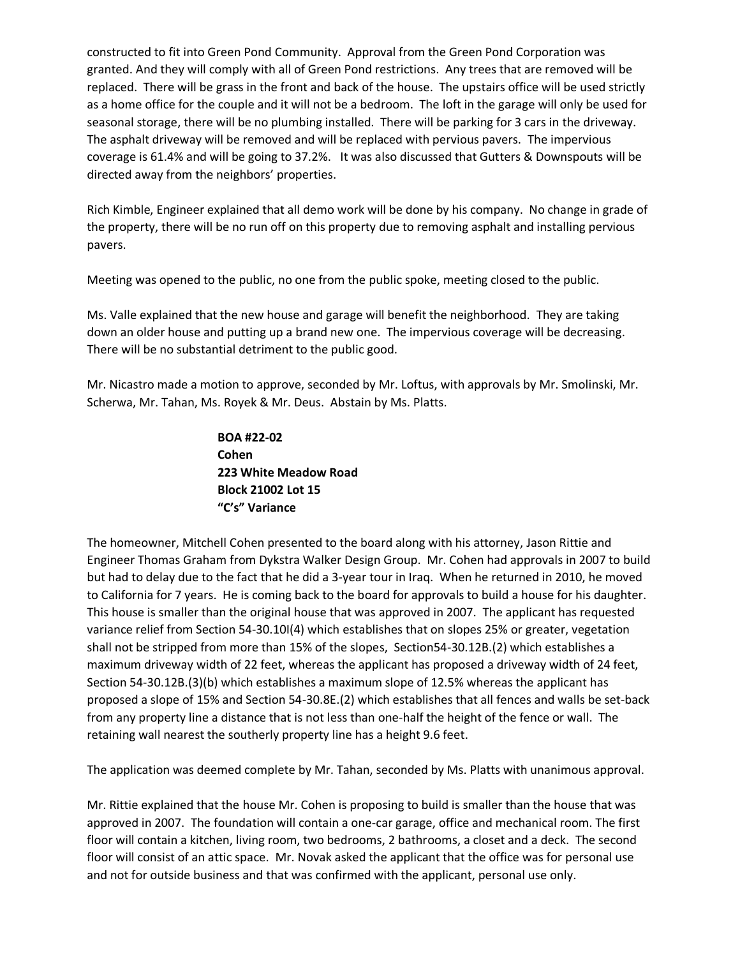constructed to fit into Green Pond Community. Approval from the Green Pond Corporation was granted. And they will comply with all of Green Pond restrictions. Any trees that are removed will be replaced. There will be grass in the front and back of the house. The upstairs office will be used strictly as a home office for the couple and it will not be a bedroom. The loft in the garage will only be used for seasonal storage, there will be no plumbing installed. There will be parking for 3 cars in the driveway. The asphalt driveway will be removed and will be replaced with pervious pavers. The impervious coverage is 61.4% and will be going to 37.2%. It was also discussed that Gutters & Downspouts will be directed away from the neighbors' properties.

Rich Kimble, Engineer explained that all demo work will be done by his company. No change in grade of the property, there will be no run off on this property due to removing asphalt and installing pervious pavers.

Meeting was opened to the public, no one from the public spoke, meeting closed to the public.

Ms. Valle explained that the new house and garage will benefit the neighborhood. They are taking down an older house and putting up a brand new one. The impervious coverage will be decreasing. There will be no substantial detriment to the public good.

Mr. Nicastro made a motion to approve, seconded by Mr. Loftus, with approvals by Mr. Smolinski, Mr. Scherwa, Mr. Tahan, Ms. Royek & Mr. Deus. Abstain by Ms. Platts.

> **BOA #22-02 Cohen 223 White Meadow Road Block 21002 Lot 15 "C's" Variance**

The homeowner, Mitchell Cohen presented to the board along with his attorney, Jason Rittie and Engineer Thomas Graham from Dykstra Walker Design Group. Mr. Cohen had approvals in 2007 to build but had to delay due to the fact that he did a 3-year tour in Iraq. When he returned in 2010, he moved to California for 7 years. He is coming back to the board for approvals to build a house for his daughter. This house is smaller than the original house that was approved in 2007. The applicant has requested variance relief from Section 54-30.10I(4) which establishes that on slopes 25% or greater, vegetation shall not be stripped from more than 15% of the slopes, Section54-30.12B.(2) which establishes a maximum driveway width of 22 feet, whereas the applicant has proposed a driveway width of 24 feet, Section 54-30.12B.(3)(b) which establishes a maximum slope of 12.5% whereas the applicant has proposed a slope of 15% and Section 54-30.8E.(2) which establishes that all fences and walls be set-back from any property line a distance that is not less than one-half the height of the fence or wall. The retaining wall nearest the southerly property line has a height 9.6 feet.

The application was deemed complete by Mr. Tahan, seconded by Ms. Platts with unanimous approval.

Mr. Rittie explained that the house Mr. Cohen is proposing to build is smaller than the house that was approved in 2007. The foundation will contain a one-car garage, office and mechanical room. The first floor will contain a kitchen, living room, two bedrooms, 2 bathrooms, a closet and a deck. The second floor will consist of an attic space. Mr. Novak asked the applicant that the office was for personal use and not for outside business and that was confirmed with the applicant, personal use only.